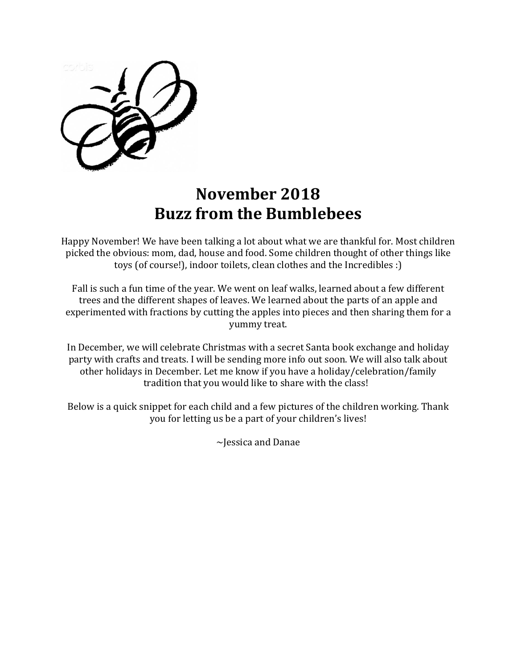## **November 2018 Buzz from the Bumblebees**

Happy November! We have been talking a lot about what we are thankful for. Most children picked the obvious: mom, dad, house and food. Some children thought of other things like toys (of course!), indoor toilets, clean clothes and the Incredibles :)

Fall is such a fun time of the year. We went on leaf walks, learned about a few different trees and the different shapes of leaves. We learned about the parts of an apple and experimented with fractions by cutting the apples into pieces and then sharing them for a yummy treat.

In December, we will celebrate Christmas with a secret Santa book exchange and holiday party with crafts and treats. I will be sending more info out soon. We will also talk about other holidays in December. Let me know if you have a holiday/celebration/family tradition that you would like to share with the class!

Below is a quick snippet for each child and a few pictures of the children working. Thank you for letting us be a part of your children's lives!

~Jessica and Danae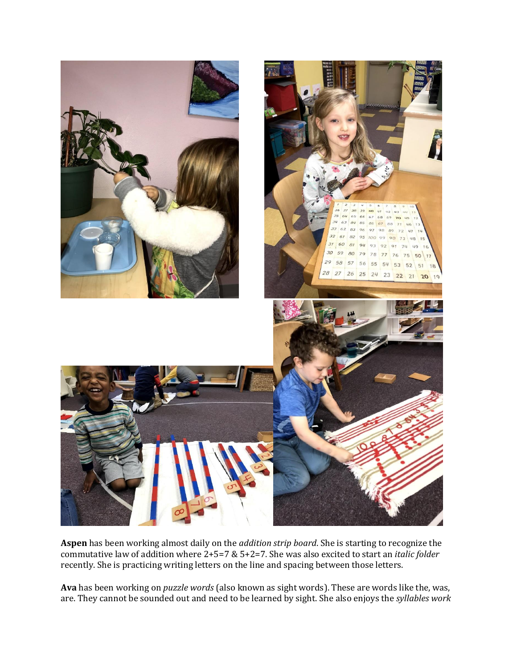

**Aspen** has been working almost daily on the *addition strip board*. She is starting to recognize the commutative law of addition where 2+5=7 & 5+2=7. She was also excited to start an *italic folder* recently. She is practicing writing letters on the line and spacing between those letters.

**Ava** has been working on *puzzle words* (also known as sight words). These are words like the, was, are. They cannot be sounded out and need to be learned by sight. She also enjoys the *syllables work*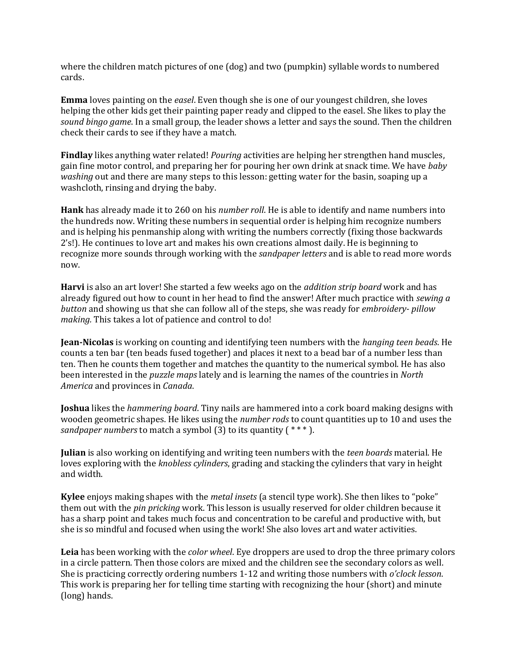where the children match pictures of one (dog) and two (pumpkin) syllable words to numbered cards.

**Emma** loves painting on the *easel*. Even though she is one of our youngest children, she loves helping the other kids get their painting paper ready and clipped to the easel. She likes to play the *sound bingo game*. In a small group, the leader shows a letter and says the sound. Then the children check their cards to see if they have a match.

**Findlay** likes anything water related! *Pouring* activities are helping her strengthen hand muscles, gain fine motor control, and preparing her for pouring her own drink at snack time. We have *baby washing* out and there are many steps to this lesson: getting water for the basin, soaping up a washcloth, rinsing and drying the baby.

**Hank** has already made it to 260 on his *number roll*. He is able to identify and name numbers into the hundreds now. Writing these numbers in sequential order is helping him recognize numbers and is helping his penmanship along with writing the numbers correctly (fixing those backwards 2's!). He continues to love art and makes his own creations almost daily. He is beginning to recognize more sounds through working with the *sandpaper letters* and is able to read more words now.

**Harvi** is also an art lover! She started a few weeks ago on the *addition strip board* work and has already figured out how to count in her head to find the answer! After much practice with *sewing a button* and showing us that she can follow all of the steps, she was ready for *embroidery- pillow making.* This takes a lot of patience and control to do!

**Jean-Nicolas** is working on counting and identifying teen numbers with the *hanging teen beads*. He counts a ten bar (ten beads fused together) and places it next to a bead bar of a number less than ten. Then he counts them together and matches the quantity to the numerical symbol. He has also been interested in the *puzzle maps* lately and is learning the names of the countries in *North America* and provinces in *Canada*.

**Joshua** likes the *hammering board*. Tiny nails are hammered into a cork board making designs with wooden geometric shapes. He likes using the *number rods* to count quantities up to 10 and uses the *sandpaper numbers* to match a symbol (3) to its quantity (\*\*\*).

**Julian** is also working on identifying and writing teen numbers with the *teen boards* material. He loves exploring with the *knobless cylinders*, grading and stacking the cylinders that vary in height and width.

**Kylee** enjoys making shapes with the *metal insets* (a stencil type work). She then likes to "poke" them out with the *pin pricking* work. This lesson is usually reserved for older children because it has a sharp point and takes much focus and concentration to be careful and productive with, but she is so mindful and focused when using the work! She also loves art and water activities.

**Leia** has been working with the *color wheel*. Eye droppers are used to drop the three primary colors in a circle pattern. Then those colors are mixed and the children see the secondary colors as well. She is practicing correctly ordering numbers 1-12 and writing those numbers with *o'clock lesson*. This work is preparing her for telling time starting with recognizing the hour (short) and minute (long) hands.